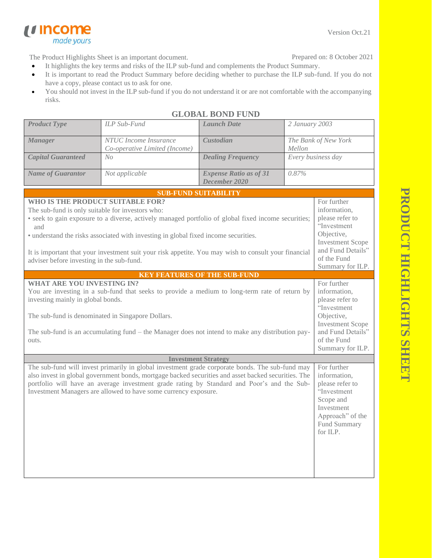Version Oct.21

The Product Highlights Sheet is an important document.

made yours

*u* Income

Prepared on: 8 October 2021

- It highlights the key terms and risks of the ILP sub-fund and complements the Product Summary.
- It is important to read the Product Summary before deciding whether to purchase the ILP sub-fund. If you do not have a copy, please contact us to ask for one.
- You should not invest in the ILP sub-fund if you do not understand it or are not comfortable with the accompanying risks.

| <b>Product Type</b>                                                                                                                                                                                                                                                                                                                         | ILP Sub-Fund                                                                                                                                                                                                                                                                                                                                                            | <b>Launch Date</b>                             | 2 January 2003                                                                                                                                                 |                                                                                                                                                                |
|---------------------------------------------------------------------------------------------------------------------------------------------------------------------------------------------------------------------------------------------------------------------------------------------------------------------------------------------|-------------------------------------------------------------------------------------------------------------------------------------------------------------------------------------------------------------------------------------------------------------------------------------------------------------------------------------------------------------------------|------------------------------------------------|----------------------------------------------------------------------------------------------------------------------------------------------------------------|----------------------------------------------------------------------------------------------------------------------------------------------------------------|
| <b>Manager</b>                                                                                                                                                                                                                                                                                                                              | NTUC Income Insurance<br>Co-operative Limited (Income)                                                                                                                                                                                                                                                                                                                  | Custodian                                      | The Bank of New York<br>Mellon                                                                                                                                 |                                                                                                                                                                |
| <b>Capital Guaranteed</b>                                                                                                                                                                                                                                                                                                                   | No                                                                                                                                                                                                                                                                                                                                                                      | <b>Dealing Frequency</b>                       | Every business day                                                                                                                                             |                                                                                                                                                                |
| <b>Name of Guarantor</b>                                                                                                                                                                                                                                                                                                                    | Not applicable                                                                                                                                                                                                                                                                                                                                                          | <b>Expense Ratio as of 31</b><br>December 2020 | 0.87%                                                                                                                                                          |                                                                                                                                                                |
|                                                                                                                                                                                                                                                                                                                                             |                                                                                                                                                                                                                                                                                                                                                                         | <b>SUB-FUND SUITABILITY</b>                    |                                                                                                                                                                |                                                                                                                                                                |
| WHO IS THE PRODUCT SUITABLE FOR?<br>The sub-fund is only suitable for investors who:<br>and<br>adviser before investing in the sub-fund.                                                                                                                                                                                                    | • seek to gain exposure to a diverse, actively managed portfolio of global fixed income securities;<br>• understand the risks associated with investing in global fixed income securities.<br>It is important that your investment suit your risk appetite. You may wish to consult your financial                                                                      |                                                |                                                                                                                                                                | For further<br>information,<br>please refer to<br>"Investment<br>Objective,<br><b>Investment Scope</b><br>and Fund Details"<br>of the Fund<br>Summary for ILP. |
|                                                                                                                                                                                                                                                                                                                                             |                                                                                                                                                                                                                                                                                                                                                                         | <b>KEY FEATURES OF THE SUB-FUND</b>            |                                                                                                                                                                |                                                                                                                                                                |
| <b>WHAT ARE YOU INVESTING IN?</b><br>You are investing in a sub-fund that seeks to provide a medium to long-term rate of return by<br>investing mainly in global bonds.<br>The sub-fund is denominated in Singapore Dollars.<br>The sub-fund is an accumulating fund $-$ the Manager does not intend to make any distribution pay-<br>outs. |                                                                                                                                                                                                                                                                                                                                                                         |                                                | For further<br>information,<br>please refer to<br>"Investment<br>Objective,<br><b>Investment Scope</b><br>and Fund Details"<br>of the Fund<br>Summary for ILP. |                                                                                                                                                                |
|                                                                                                                                                                                                                                                                                                                                             |                                                                                                                                                                                                                                                                                                                                                                         | <b>Investment Strategy</b>                     |                                                                                                                                                                |                                                                                                                                                                |
|                                                                                                                                                                                                                                                                                                                                             | The sub-fund will invest primarily in global investment grade corporate bonds. The sub-fund may<br>also invest in global government bonds, mortgage backed securities and asset backed securities. The<br>portfolio will have an average investment grade rating by Standard and Poor's and the Sub-<br>Investment Managers are allowed to have some currency exposure. |                                                |                                                                                                                                                                | For further<br>information,<br>please refer to<br>"Investment<br>Scope and<br>Investment<br>Approach" of the<br>Fund Summary<br>for ILP.                       |

# **GLOBAL BOND FUND**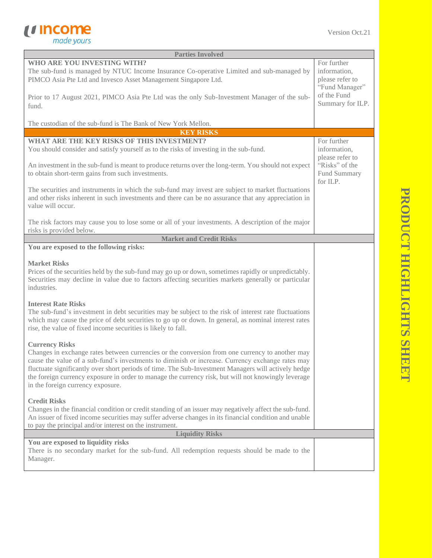

| <b>Parties Involved</b>                                                                                                                                                                                                                                                                                                                                                                                                                                                         |                                                                  |  |
|---------------------------------------------------------------------------------------------------------------------------------------------------------------------------------------------------------------------------------------------------------------------------------------------------------------------------------------------------------------------------------------------------------------------------------------------------------------------------------|------------------------------------------------------------------|--|
| WHO ARE YOU INVESTING WITH?<br>The sub-fund is managed by NTUC Income Insurance Co-operative Limited and sub-managed by<br>PIMCO Asia Pte Ltd and Invesco Asset Management Singapore Ltd.                                                                                                                                                                                                                                                                                       | For further<br>information,<br>please refer to<br>"Fund Manager" |  |
| Prior to 17 August 2021, PIMCO Asia Pte Ltd was the only Sub-Investment Manager of the sub-<br>fund.                                                                                                                                                                                                                                                                                                                                                                            | of the Fund<br>Summary for ILP.                                  |  |
| The custodian of the sub-fund is The Bank of New York Mellon.                                                                                                                                                                                                                                                                                                                                                                                                                   |                                                                  |  |
| <b>KEY RISKS</b>                                                                                                                                                                                                                                                                                                                                                                                                                                                                |                                                                  |  |
| WHAT ARE THE KEY RISKS OF THIS INVESTMENT?<br>You should consider and satisfy yourself as to the risks of investing in the sub-fund.                                                                                                                                                                                                                                                                                                                                            | For further<br>information,<br>please refer to                   |  |
| An investment in the sub-fund is meant to produce returns over the long-term. You should not expect<br>to obtain short-term gains from such investments.                                                                                                                                                                                                                                                                                                                        | "Risks" of the<br>Fund Summary<br>for ILP.                       |  |
| The securities and instruments in which the sub-fund may invest are subject to market fluctuations<br>and other risks inherent in such investments and there can be no assurance that any appreciation in<br>value will occur.                                                                                                                                                                                                                                                  |                                                                  |  |
| The risk factors may cause you to lose some or all of your investments. A description of the major<br>risks is provided below.                                                                                                                                                                                                                                                                                                                                                  |                                                                  |  |
| <b>Market and Credit Risks</b>                                                                                                                                                                                                                                                                                                                                                                                                                                                  |                                                                  |  |
| You are exposed to the following risks:                                                                                                                                                                                                                                                                                                                                                                                                                                         |                                                                  |  |
| <b>Market Risks</b><br>Prices of the securities held by the sub-fund may go up or down, sometimes rapidly or unpredictably.<br>Securities may decline in value due to factors affecting securities markets generally or particular<br>industries.                                                                                                                                                                                                                               |                                                                  |  |
| <b>Interest Rate Risks</b><br>The sub-fund's investment in debt securities may be subject to the risk of interest rate fluctuations<br>which may cause the price of debt securities to go up or down. In general, as nominal interest rates<br>rise, the value of fixed income securities is likely to fall.                                                                                                                                                                    |                                                                  |  |
| <b>Currency Risks</b><br>Changes in exchange rates between currencies or the conversion from one currency to another may<br>cause the value of a sub-fund's investments to diminish or increase. Currency exchange rates may<br>fluctuate significantly over short periods of time. The Sub-Investment Managers will actively hedge<br>the foreign currency exposure in order to manage the currency risk, but will not knowingly leverage<br>in the foreign currency exposure. |                                                                  |  |
| <b>Credit Risks</b><br>Changes in the financial condition or credit standing of an issuer may negatively affect the sub-fund.<br>An issuer of fixed income securities may suffer adverse changes in its financial condition and unable<br>to pay the principal and/or interest on the instrument.                                                                                                                                                                               |                                                                  |  |
| <b>Liquidity Risks</b>                                                                                                                                                                                                                                                                                                                                                                                                                                                          |                                                                  |  |
| You are exposed to liquidity risks<br>There is no secondary market for the sub-fund. All redemption requests should be made to the<br>Manager.                                                                                                                                                                                                                                                                                                                                  |                                                                  |  |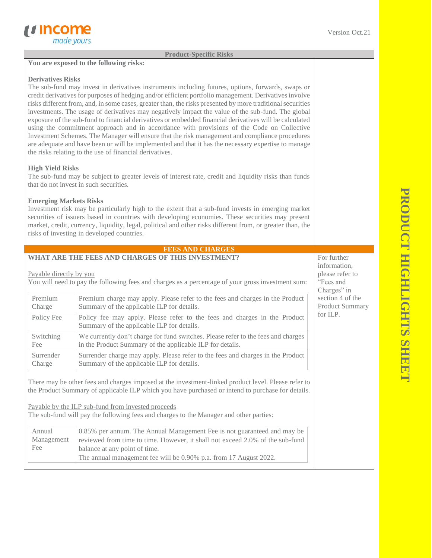#### **Product-Specific Risks**

# **You are exposed to the following risks:**

### **Derivatives Risks**

The sub-fund may invest in derivatives instruments including futures, options, forwards, swaps or credit derivatives for purposes of hedging and/or efficient portfolio management. Derivatives involve risks different from, and, in some cases, greater than, the risks presented by more traditional securities investments. The usage of derivatives may negatively impact the value of the sub-fund. The global exposure of the sub-fund to financial derivatives or embedded financial derivatives will be calculated using the commitment approach and in accordance with provisions of the Code on Collective Investment Schemes. The Manager will ensure that the risk management and compliance procedures are adequate and have been or will be implemented and that it has the necessary expertise to manage the risks relating to the use of financial derivatives.

## **High Yield Risks**

The sub-fund may be subject to greater levels of interest rate, credit and liquidity risks than funds that do not invest in such securities.

### **Emerging Markets Risks**

Investment risk may be particularly high to the extent that a sub-fund invests in emerging market securities of issuers based in countries with developing economies. These securities may present market, credit, currency, liquidity, legal, political and other risks different from, or greater than, the risks of investing in developed countries.

#### **FEES AND CHARGES**

### **WHAT ARE THE FEES AND CHARGES OF THIS INVESTMENT?**

### Payable directly by you

You will need to pay the following fees and charges as a percentage of your gross investment sum:

| Premium    | Premium charge may apply. Please refer to the fees and charges in the Product                                           |
|------------|-------------------------------------------------------------------------------------------------------------------------|
| Charge     | Summary of the applicable ILP for details.                                                                              |
| Policy Fee | Policy fee may apply. Please refer to the fees and charges in the Product<br>Summary of the applicable ILP for details. |
| Switching  | We currently don't charge for fund switches. Please refer to the fees and charges                                       |
| Fee        | in the Product Summary of the applicable ILP for details.                                                               |
| Surrender  | Surrender charge may apply. Please refer to the fees and charges in the Product                                         |
| Charge     | Summary of the applicable ILP for details.                                                                              |

There may be other fees and charges imposed at the investment-linked product level. Please refer to the Product Summary of applicable ILP which you have purchased or intend to purchase for details.

Payable by the ILP sub-fund from invested proceeds

The sub-fund will pay the following fees and charges to the Manager and other parties:

| Annual     | 0.85% per annum. The Annual Management Fee is not guaranteed and may be       |
|------------|-------------------------------------------------------------------------------|
| Management | reviewed from time to time. However, it shall not exceed 2.0% of the sub-fund |
| Fee        | balance at any point of time.                                                 |
|            | The annual management fee will be 0.90% p.a. from 17 August 2022.             |

For further information, please refer to "Fees and Charges" in section 4 of the Product Summary for ILP.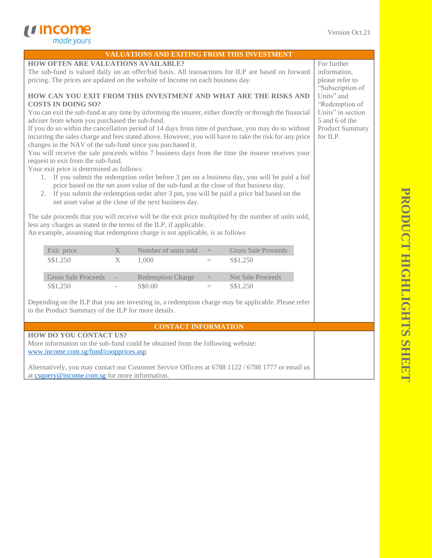*<u>Income</u>*<br> *made yours* 

|                                                                                                                                                                       | VALUATIONS AND EXITING FROM THIS INVESTMENT                                                         |                 |                                                                                             |                                    |
|-----------------------------------------------------------------------------------------------------------------------------------------------------------------------|-----------------------------------------------------------------------------------------------------|-----------------|---------------------------------------------------------------------------------------------|------------------------------------|
| <b>HOW OFTEN ARE VALUATIONS AVAILABLE?</b>                                                                                                                            |                                                                                                     |                 |                                                                                             | For further                        |
| The sub-fund is valued daily on an offer/bid basis. All transactions for ILP are based on forward                                                                     |                                                                                                     |                 | information,                                                                                |                                    |
| pricing. The prices are updated on the website of Income on each business day.                                                                                        |                                                                                                     | please refer to |                                                                                             |                                    |
|                                                                                                                                                                       |                                                                                                     |                 |                                                                                             | "Subscription of                   |
| HOW CAN YOU EXIT FROM THIS INVESTMENT AND WHAT ARE THE RISKS AND                                                                                                      |                                                                                                     |                 | Units" and                                                                                  |                                    |
| <b>COSTS IN DOING SO?</b>                                                                                                                                             |                                                                                                     |                 | "Redemption of                                                                              |                                    |
| You can exit the sub-fund at any time by informing the insurer, either directly or through the financial                                                              |                                                                                                     |                 | Units" in section                                                                           |                                    |
| adviser from whom you purchased the sub-fund.                                                                                                                         |                                                                                                     |                 | 5 and 6 of the                                                                              |                                    |
|                                                                                                                                                                       | If you do so within the cancellation period of 14 days from time of purchase, you may do so without |                 |                                                                                             | <b>Product Summary</b><br>for ILP. |
| incurring the sales charge and fees stated above. However, you will have to take the risk for any price<br>changes in the NAV of the sub-fund since you purchased it. |                                                                                                     |                 |                                                                                             |                                    |
| You will receive the sale proceeds within 7 business days from the time the insurer receives your                                                                     |                                                                                                     |                 |                                                                                             |                                    |
| request to exit from the sub-fund.                                                                                                                                    |                                                                                                     |                 |                                                                                             |                                    |
| Your exit price is determined as follows:                                                                                                                             |                                                                                                     |                 |                                                                                             |                                    |
|                                                                                                                                                                       |                                                                                                     |                 | 1. If you submit the redemption order before 3 pm on a business day, you will be paid a bid |                                    |
|                                                                                                                                                                       | price based on the net asset value of the sub-fund at the close of that business day.               |                 |                                                                                             |                                    |
| 2. If you submit the redemption order after 3 pm, you will be paid a price bid based on the                                                                           |                                                                                                     |                 |                                                                                             |                                    |
|                                                                                                                                                                       | net asset value at the close of the next business day.                                              |                 |                                                                                             |                                    |
| The sale proceeds that you will receive will be the exit price multiplied by the number of units sold,                                                                |                                                                                                     |                 |                                                                                             |                                    |
| less any charges as stated in the terms of the ILP, if applicable.                                                                                                    |                                                                                                     |                 |                                                                                             |                                    |
| An example, assuming that redemption charge is not applicable, is as follows                                                                                          |                                                                                                     |                 |                                                                                             |                                    |
|                                                                                                                                                                       |                                                                                                     |                 |                                                                                             |                                    |
| Exit price<br>$\mathbf{X}$                                                                                                                                            | Number of units sold                                                                                | $=$             | <b>Gross Sale Proceeds</b>                                                                  |                                    |
| S\$1.250<br>X                                                                                                                                                         | 1,000                                                                                               | $\equiv$        | S\$1,250                                                                                    |                                    |
|                                                                                                                                                                       |                                                                                                     |                 |                                                                                             |                                    |
|                                                                                                                                                                       |                                                                                                     |                 |                                                                                             |                                    |
| <b>Gross Sale Proceeds</b>                                                                                                                                            | <b>Redemption Charge</b>                                                                            | $=$             | <b>Net Sale Proceeds</b>                                                                    |                                    |
| S\$1,250                                                                                                                                                              | S\$0.00                                                                                             | $=$             | S\$1,250                                                                                    |                                    |
|                                                                                                                                                                       |                                                                                                     |                 |                                                                                             |                                    |
| Depending on the ILP that you are investing in, a redemption charge may be applicable. Please refer                                                                   |                                                                                                     |                 |                                                                                             |                                    |
| to the Product Summary of the ILP for more details.                                                                                                                   |                                                                                                     |                 |                                                                                             |                                    |
|                                                                                                                                                                       |                                                                                                     |                 |                                                                                             |                                    |
|                                                                                                                                                                       | <b>CONTACT INFORMATION</b>                                                                          |                 |                                                                                             |                                    |
| <b>HOW DO YOU CONTACT US?</b>                                                                                                                                         |                                                                                                     |                 |                                                                                             |                                    |
| More information on the sub-fund could be obtained from the following website:<br>www.income.com.sg/fund/coopprices.asp                                               |                                                                                                     |                 |                                                                                             |                                    |

Alternatively, you may contact our Customer Service Officers at 6788 1122 / 6788 1777 or email us at [csquery@income.com.sg](mailto:csquery@income.com.sg) for more information.